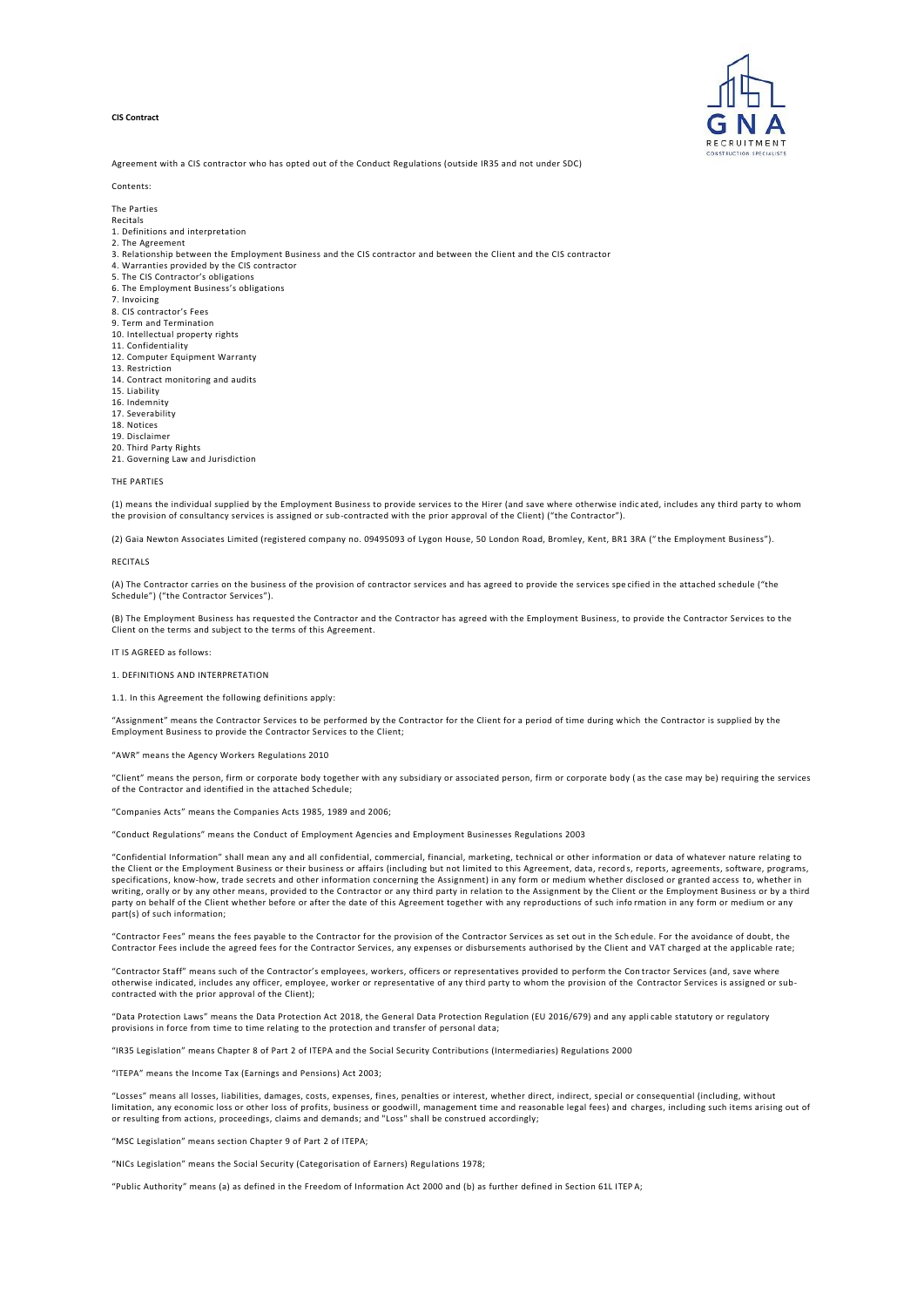# **CIS Contract**



Agreement with a CIS contractor who has opted out of the Conduct Regulations (outside IR35 and not under SDC)

#### Contents:

The Parties

- Recitals
- 1. Definitions and interpretation
- 2. The Agreement
- 3. Relationship between the Employment Business and the CIS contractor and between the Client and the CIS contractor
- 4. Warranties provided by the CIS contractor
- 5. The CIS Contractor's obligations 6. The Employment Business's obligations
- 7. Invoicing
- 8. CIS contractor's Fees
- 9. Term and Termination
- 10. Intellectual property rights
- 11. Confidentiality
- 12. Computer Equipment Warranty
- 13. Restriction
- 14. Contract monitoring and audits
- 15. Liability
- 16. Indemnity
- 17. Severability 18. Notices
- 19. Disclaimer
- 20. Third Party Rights
- 21. Governing Law and Jurisdiction

# THE PARTIES

(1) means the individual supplied by the Employment Business to provide services to the Hirer (and save where otherwise indic ated, includes any third party to whom the provision of consultancy services is assigned or sub-contracted with the prior approval of the Client) ("the Contractor").

(2) Gaia Newton Associates Limited (registered company no. 09495093 of Lygon House, 50 London Road, Bromley, Kent, BR1 3RA (" the Employment Business").

### RECITALS

(A) The Contractor carries on the business of the provision of contractor services and has agreed to provide the services spe cified in the attached schedule ("the Schedule") ("the Contractor Services").

(B) The Employment Business has requested the Contractor and the Contractor has agreed with the Employment Business, to provide the Contractor Services to the Client on the terms and subject to the terms of this Agreement.

IT IS AGREED as follows:

1. DEFINITIONS AND INTERPRETATION

#### 1.1. In this Agreement the following definitions apply:

"Assignment" means the Contractor Services to be performed by the Contractor for the Client for a period of time during which the Contractor is supplied by the Employment Business to provide the Contractor Services to the Client;

"AWR" means the Agency Workers Regulations 2010

"Client" means the person, firm or corporate body together with any subsidiary or associated person, firm or corporate body ( as the case may be) requiring the services of the Contractor and identified in the attached Schedule;

"Companies Acts" means the Companies Acts 1985, 1989 and 2006;

"Conduct Regulations" means the Conduct of Employment Agencies and Employment Businesses Regulations 2003

"Confidential Information" shall mean any and all confidential, commercial, financial, marketing, technical or other information or data of whatever nature relating to the Client or the Employment Business or their business or affairs (including but not limited to this Agreement, data, record s, reports, agreements, software, programs, specifications, know-how, trade secrets and other information concerning the Assignment) in any form or medium whether disclosed or granted access to, whether in writing, orally or by any other means, provided to the Contractor or any third party in relation to the Assignment by the Client or the Employment Business or by a third<br>party on behalf of the Client whether before or afte part(s) of such information;

"Contractor Fees" means the fees payable to the Contractor for the provision of the Contractor Services as set out in the Sch edule. For the avoidance of doubt, the Contractor Fees include the agreed fees for the Contractor Services, any expenses or disbursements authorised by the Client and VAT charged at the applicable rate;

"Contractor Staff" means such of the Contractor's employees, workers, officers or representatives provided to perform the Con tractor Services (and, save where otherwise indicated, includes any officer, employee, worker or representative of any third party to whom the provision of the Contractor Services is assigned or subcontracted with the prior approval of the Client);

"Data Protection Laws" means the Data Protection Act 2018, the General Data Protection Regulation (EU 2016/679) and any appli cable statutory or regulatory provisions in force from time to time relating to the protection and transfer of personal data;

"IR35 Legislation" means Chapter 8 of Part 2 of ITEPA and the Social Security Contributions (Intermediaries) Regulations 2000

"ITEPA" means the Income Tax (Earnings and Pensions) Act 2003;

"Losses" means all losses, liabilities, damages, costs, expenses, fines, penalties or interest, whether direct, indirect, special or consequential (including, without<br>limitation, any economic loss or other loss of profits, or resulting from actions, proceedings, claims and demands; and "Loss" shall be construed accordingly;

"MSC Legislation" means section Chapter 9 of Part 2 of ITEPA;

"NICs Legislation" means the Social Security (Categorisation of Earners) Regulations 1978;

"Public Authority" means (a) as defined in the Freedom of Information Act 2000 and (b) as further defined in Section 61L ITEP A;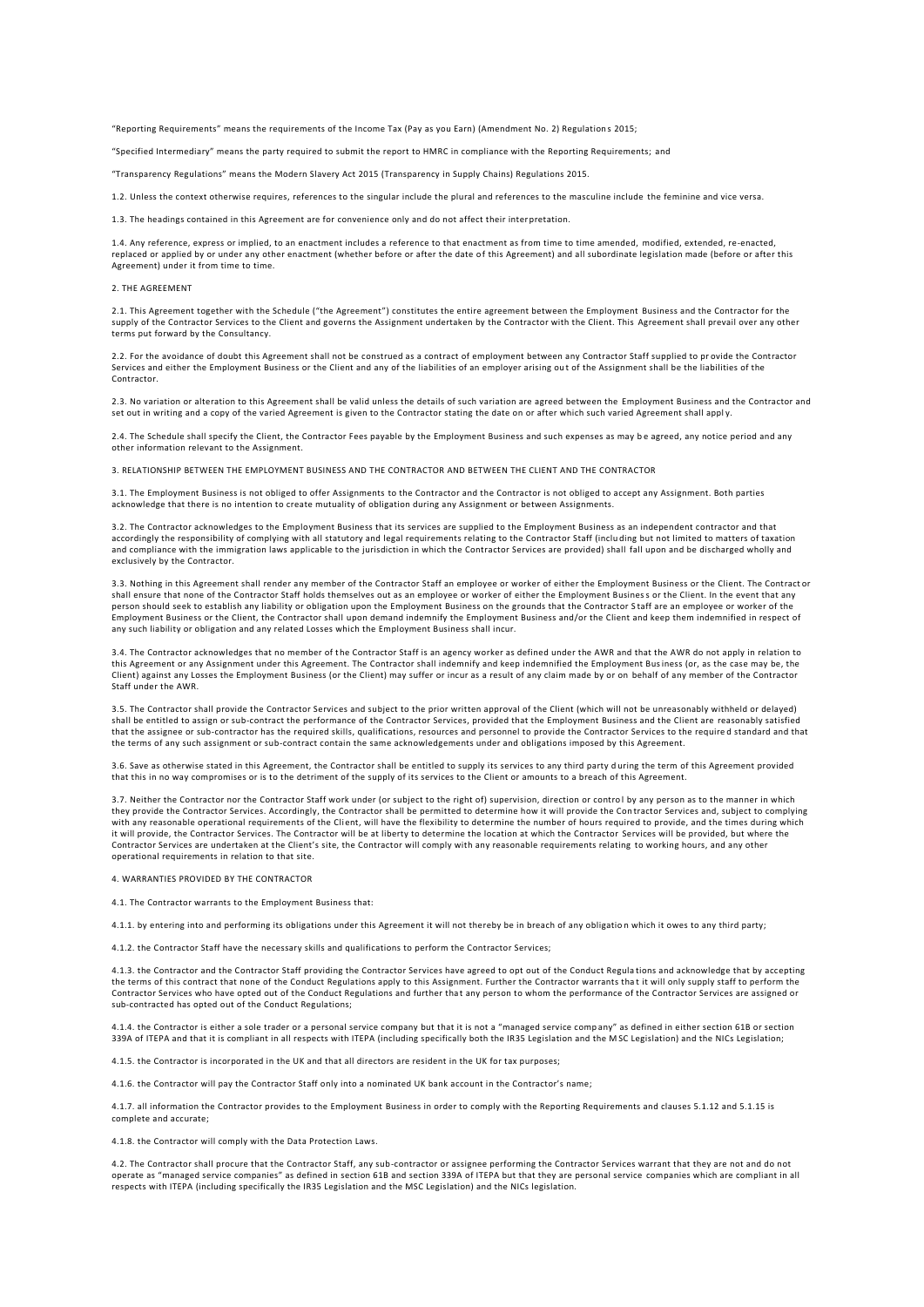"Reporting Requirements" means the requirements of the Income Tax (Pay as you Earn) (Amendment No. 2) Regulation s 2015;

"Specified Intermediary" means the party required to submit the report to HMRC in compliance with the Reporting Requirements; and

"Transparency Regulations" means the Modern Slavery Act 2015 (Transparency in Supply Chains) Regulations 2015.

1.2. Unless the context otherwise requires, references to the singular include the plural and references to the masculine include the feminine and vice versa.

1.3. The headings contained in this Agreement are for convenience only and do not affect their inter pretation.

1.4. Any reference, express or implied, to an enactment includes a reference to that enactment as from time to time amended, modified, extended, re-enacted, replaced or applied by or under any other enactment (whether before or after the date of this Agreement) and all subordinate legislation made (before or after this Agreement) under it from time to time.

# 2. THE AGREEMENT

2.1. This Agreement together with the Schedule ("the Agreement") constitutes the entire agreement between the Employment Business and the Contractor for the supply of the Contractor Services to the Client and governs the Assignment undertaken by the Contractor with the Client. This Agreement shall prevail over any other terms put forward by the Consultancy.

2.2. For the avoidance of doubt this Agreement shall not be construed as a contract of employment between any Contractor Staff supplied to provide the Contractor Services and either the Employment Business or the Client and any of the liabilities of an employer arising ou t of the Assignment shall be the liabilities of the Contractor.

2.3. No variation or alteration to this Agreement shall be valid unless the details of such variation are agreed between the Employment Business and the Contractor and set out in writing and a copy of the varied Agreement is given to the Contractor stating the date on or after which such varied Agreement shall appl y.

2.4. The Schedule shall specify the Client, the Contractor Fees payable by the Employment Business and such expenses as may be agreed, any notice period and any other information relevant to the Assignment.

3. RELATIONSHIP BETWEEN THE EMPLOYMENT BUSINESS AND THE CONTRACTOR AND BETWEEN THE CLIENT AND THE CONTRACTOR

3.1. The Employment Business is not obliged to offer Assignments to the Contractor and the Contractor is not obliged to accept any Assignment. Both parties acknowledge that there is no intention to create mutuality of obligation during any Assignment or between Assignments.

3.2. The Contractor acknowledges to the Employment Business that its services are supplied to the Employment Business as an independent contractor and that accordingly the responsibility of complying with all statutory and legal requirements relating to the Contractor Staff (inclu ding but not limited to matters of taxation and compliance with the immigration laws applicable to the jurisdiction in which the Contractor Services are provided) shall fall upon and be discharged wholly and exclusively by the Contractor.

3.3. Nothing in this Agreement shall render any member of the Contractor Staff an employee or worker of either the Employment Business or the Client. The Contract or shall ensure that none of the Contractor Staff holds themselves out as an employee or worker of either the Employment Business or the Client. In the event that any<br>person should seek to establish any liability or obligatio Employment Business or the Client, the Contractor shall upon demand indemnify the Employment Business and/or the Client and keep them indemnified in respect of any such liability or obligation and any related Losses which the Employment Business shall incur.

3.4. The Contractor acknowledges that no member of the Contractor Staff is an agency worker as defined under the AWR and that the AWR do not apply in relation to this Agreement or any Assignment under this Agreement. The Contractor shall indemnify and keep indemnified the Employment Business (or, as the case may be, the Client) against any Losses the Employment Business (or the Client) may suffer or incur as a result of any claim made by or on behalf of any member of the Contractor Staff under the AWR.

3.5. The Contractor shall provide the Contractor Services and subject to the prior written approval of the Client (which will not be unreasonably withheld or delayed) shall be entitled to assign or sub-contract the performance of the Contractor Services, provided that the Employment Business and the Client are reasonably satisfied that the assignee or sub-contractor has the required skills, qualifications, resources and personnel to provide the Contractor Services to the require d standard and that the terms of any such assignment or sub-contract contain the same acknowledgements under and obligations imposed by this Agreement.

3.6. Save as otherwise stated in this Agreement, the Contractor shall be entitled to supply its services to any third party d uring the term of this Agreement provided that this in no way compromises or is to the detriment of the supply of its services to the Client or amounts to a breach of this Agreement.

3.7. Neither the Contractor nor the Contractor Staff work under (or subject to the right of) supervision, direction or control by any person as to the manner in which they provide the Contractor Services. Accordingly, the Contractor shall be permitted to determine how it will provide the Con tractor Services and, subject to complying with any reasonable operational requirements of the Client, will have the flexibility to determine the number of hours required to provide, and the times during which it will provide, the Contractor Services. The Contractor will be at liberty to determine the location at which the Contractor Services will be provided, but where the Contractor Services are undertaken at the Client's site, the Contractor will comply with any reasonable requirements relating to working hours, and any other operational requirements in relation to that site.

### 4. WARRANTIES PROVIDED BY THE CONTRACTOR

4.1. The Contractor warrants to the Employment Business that:

4.1.1. by entering into and performing its obligations under this Agreement it will not thereby be in breach of any obligatio n which it owes to any third party;

4.1.2. the Contractor Staff have the necessary skills and qualifications to perform the Contractor Services;

4.1.3. the Contractor and the Contractor Staff providing the Contractor Services have agreed to opt out of the Conduct Regula tions and acknowledge that by accepting the terms of this contract that none of the Conduct Regulations apply to this Assignment. Further the Contractor warrants that it will only supply staff to perform the Contractor Services who have opted out of the Conduct Regulations and further tha t any person to whom the performance of the Contractor Services are assigned or sub-contracted has opted out of the Conduct Regulations;

4.1.4. the Contractor is either a sole trader or a personal service company but that it is not a "managed service company" as defined in either section 61B or section 339A of ITEPA and that it is compliant in all respects with ITEPA (including specifically both the IR35 Legislation and the M SC Legislation) and the NICs Legislation;

4.1.5. the Contractor is incorporated in the UK and that all directors are resident in the UK for tax purposes;

4.1.6. the Contractor will pay the Contractor Staff only into a nominated UK bank account in the Contractor's name;

4.1.7. all information the Contractor provides to the Employment Business in order to comply with the Reporting Requirements and clauses 5.1.12 and 5.1.15 is complete and accurate;

4.1.8. the Contractor will comply with the Data Protection Laws.

4.2. The Contractor shall procure that the Contractor Staff, any sub-contractor or assignee performing the Contractor Services warrant that they are not and do not operate as "managed service companies" as defined in section 61B and section 339A of ITEPA but that they are personal service companies which are compliant in all respects with ITEPA (including specifically the IR35 Legislation and the MSC Legislation) and the NICs legislation.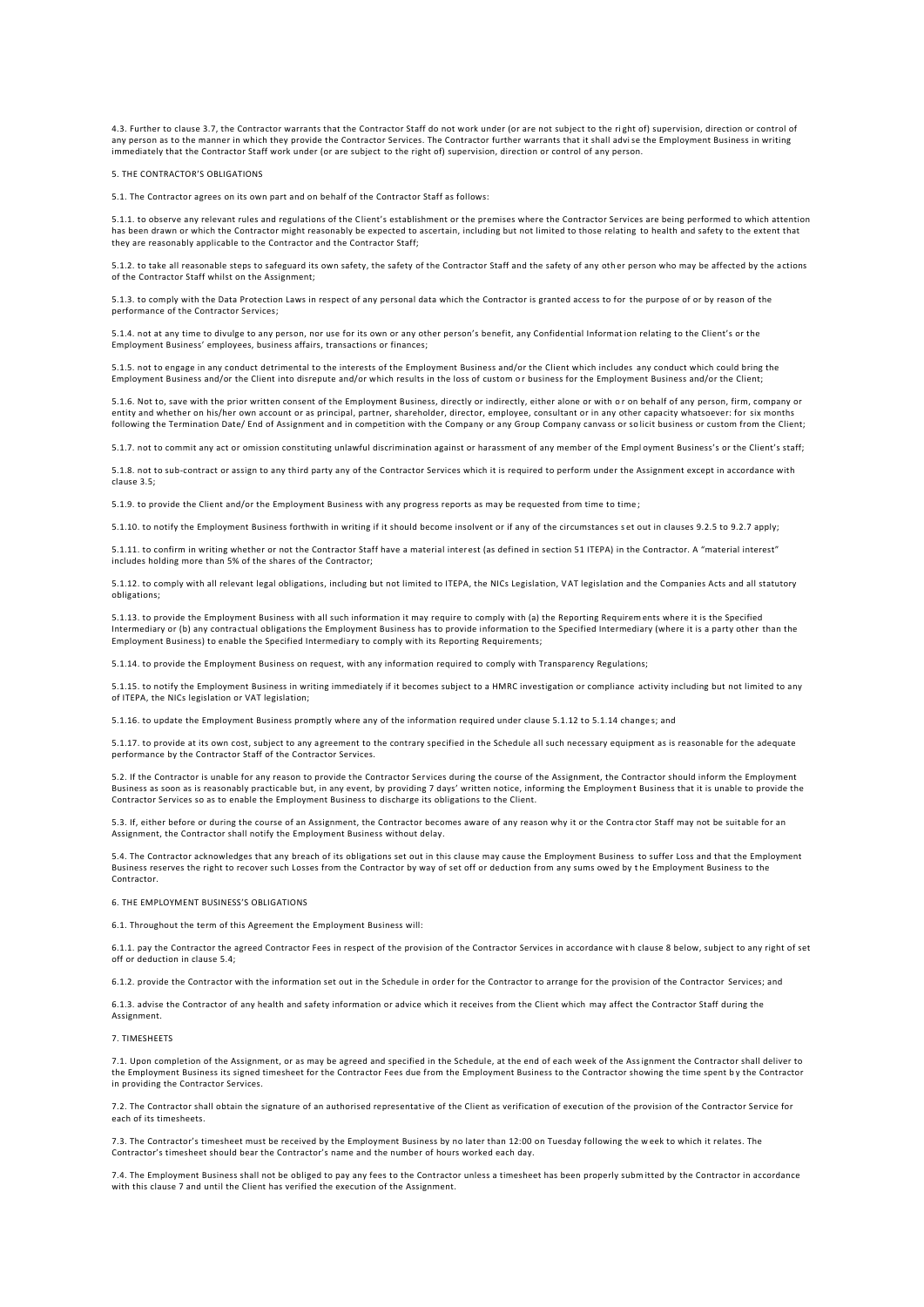4.3. Further to clause 3.7, the Contractor warrants that the Contractor Staff do not work under (or are not subject to the right of) supervision, direction or control of<br>any person as to the manner in which they provide th immediately that the Contractor Staff work under (or are subject to the right of) supervision, direction or control of any person.

#### 5. THE CONTRACTOR'S OBLIGATIONS

5.1. The Contractor agrees on its own part and on behalf of the Contractor Staff as follows:

5.1.1. to observe any relevant rules and regulations of the Client's establishment or the premises where the Contractor Services are being performed to which attention<br>has been drawn or which the Contractor might reasonabl they are reasonably applicable to the Contractor and the Contractor Staff;

5.1.2. to take all reasonable steps to safeguard its own safety, the safety of the Contractor Staff and the safety of any oth er person who may be affected by the actions of the Contractor Staff whilst on the Assignment;

5.1.3. to comply with the Data Protection Laws in respect of any personal data which the Contractor is granted access to for the purpose of or by reason of the performance of the Contractor Services;

5.1.4. not at any time to divulge to any person, nor use for its own or any other person's benefit, any Confidential Informat ion relating to the Client's or the Employment Business' employees, business affairs, transactions or finances;

5.1.5. not to engage in any conduct detrimental to the interests of the Employment Business and/or the Client which includes any conduct which could bring the Employment Business and/or the Client into disrepute and/or which results in the loss of custom or business for the Employment Business and/or the Client;

5.1.6. Not to, save with the prior written consent of the Employment Business, directly or indirectly, either alone or with o r on behalf of any person, firm, company or entity and whether on his/her own account or as principal, partner, shareholder, director, employee, consultant or in any other capacity whatsoever: for six months following the Termination Date/ End of Assignment and in competition with the Company or any Group Company canvass or solicit business or custom from the Client;

5.1.7. not to commit any act or omission constituting unlawful discrimination against or harassment of any member of the Empl oyment Business's or the Client's staff;

5.1.8. not to sub-contract or assign to any third party any of the Contractor Services which it is required to perform under the Assignment except in accordance with clause 3.5;

5.1.9. to provide the Client and/or the Employment Business with any progress reports as may be requested from time to time ;

5.1.10. to notify the Employment Business forthwith in writing if it should become insolvent or if any of the circumstances s et out in clauses 9.2.5 to 9.2.7 apply;

5.1.11. to confirm in writing whether or not the Contractor Staff have a material interest (as defined in section 51 ITEPA) in the Contractor. A "material interest" includes holding more than 5% of the shares of the Contractor;

5.1.12. to comply with all relevant legal obligations, including but not limited to ITEPA, the NICs Legislation, V AT legislation and the Companies Acts and all statutory obligations;

5.1.13. to provide the Employment Business with all such information it may require to comply with (a) the Reporting Requirem ents where it is the Specified Intermediary or (b) any contractual obligations the Employment Business has to provide information to the Specified Intermediary (where it is a party other than the Employment Business) to enable the Specified Intermediary to comply with its Reporting Requirements;

5.1.14. to provide the Employment Business on request, with any information required to comply with Transparency Regulations;

5.1.15. to notify the Employment Business in writing immediately if it becomes subject to a HMRC investigation or compliance activity including but not limited to any of ITEPA, the NICs legislation or VAT legislation;

5.1.16. to update the Employment Business promptly where any of the information required under clause 5.1.12 to 5.1.14 change s; and

5.1.17. to provide at its own cost, subject to any agreement to the contrary specified in the Schedule all such necessary equipment as is reasonable for the adequate performance by the Contractor Staff of the Contractor Services.

5.2. If the Contractor is unable for any reason to provide the Contractor Services during the course of the Assignment, the Contractor should inform the Employment Business as soon as is reasonably practicable but, in any event, by providing 7 days' written notice, informing the Employmen t Business that it is unable to provide the Contractor Services so as to enable the Employment Business to discharge its obligations to the Client.

5.3. If, either before or during the course of an Assignment, the Contractor becomes aware of any reason why it or the Contra ctor Staff may not be suitable for an Assignment, the Contractor shall notify the Employment Business without delay.

5.4. The Contractor acknowledges that any breach of its obligations set out in this clause may cause the Employment Business to suffer Loss and that the Employment Business reserves the right to recover such Losses from the Contractor by way of set off or deduction from any sums owed by t he Employment Business to the Contractor.

#### 6. THE EMPLOYMENT BUSINESS'S OBLIGATIONS

6.1. Throughout the term of this Agreement the Employment Business will:

6.1.1. pay the Contractor the agreed Contractor Fees in respect of the provision of the Contractor Services in accordance wit h clause 8 below, subject to any right of set off or deduction in clause 5.4;

6.1.2. provide the Contractor with the information set out in the Schedule in order for the Contractor to arrange for the provision of the Contractor Services; and

6.1.3. advise the Contractor of any health and safety information or advice which it receives from the Client which may affect the Contractor Staff during the Assignment.

#### 7. TIMESHEETS

7.1. Upon completion of the Assignment, or as may be agreed and specified in the Schedule, at the end of each week of the Assignment the Contractor shall deliver to the Employment Business its signed timesheet for the Contractor Fees due from the Employment Business to the Contractor showing the time spent b y the Contractor in providing the Contractor Services.

7.2. The Contractor shall obtain the signature of an authorised representative of the Client as verification of execution of the provision of the Contractor Service for each of its timesheets.

7.3. The Contractor's timesheet must be received by the Employment Business by no later than 12:00 on Tuesday following the w eek to which it relates. The Contractor's timesheet should bear the Contractor's name and the number of hours worked each day.

7.4. The Employment Business shall not be obliged to pay any fees to the Contractor unless a timesheet has been properly subm itted by the Contractor in accordance with this clause 7 and until the Client has verified the execution of the Assignment.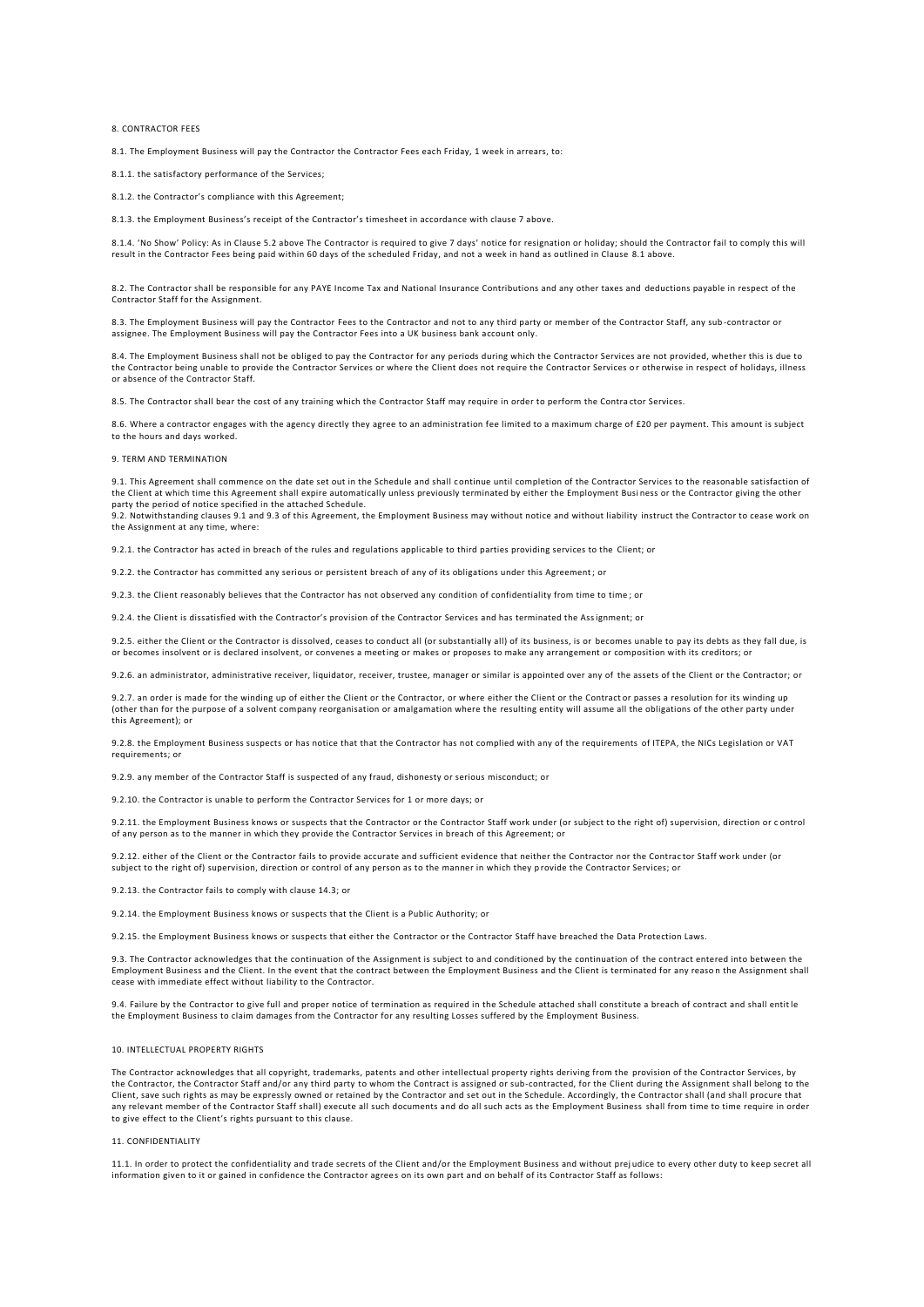### 8. CONTRACTOR FEES

8.1. The Employment Business will pay the Contractor the Contractor Fees each Friday, 1 week in arrears, to:

8.1.1. the satisfactory performance of the Services;

8.1.2. the Contractor's compliance with this Agreement;

8.1.3. the Employment Business's receipt of the Contractor's timesheet in accordance with clause 7 above.

8.1.4. 'No Show' Policy: As in Clause 5.2 above The Contractor is required to give 7 days' notice for resignation or holiday; should the Contractor fail to comply this will result in the Contractor Fees being paid within 60 days of the scheduled Friday, and not a week in hand as outlined in Clause 8.1 above.

8.2. The Contractor shall be responsible for any PAYE Income Tax and National Insurance Contributions and any other taxes and deductions payable in respect of the Contractor Staff for the Assignment.

8.3. The Employment Business will pay the Contractor Fees to the Contractor and not to any third party or member of the Contractor Staff, any sub-contractor or assignee. The Employment Business will pay the Contractor Fees into a UK business bank account only.

8.4. The Employment Business shall not be obliged to pay the Contractor for any periods during which the Contractor Services are not provided, whether this is due to the Contractor being unable to provide the Contractor Services or where the Client does not require the Contractor Services or otherwise in respect of holidays, illness or absence of the Contractor Staff.

8.5. The Contractor shall bear the cost of any training which the Contractor Staff may require in order to perform the Contra ctor Services.

8.6. Where a contractor engages with the agency directly they agree to an administration fee limited to a maximum charge of £20 per payment. This amount is subject to the hours and days worked

#### 9. TERM AND TERMINATION

9.1. This Agreement shall commence on the date set out in the Schedule and shall continue until completion of the Contractor Services to the reasonable satisfaction of the Client at which time this Agreement shall expire automatically unless previously terminated by either the Employment Busi ness or the Contractor giving the other party the period of notice specified in the attached Schedule.

9.2. Notwithstanding clauses 9.1 and 9.3 of this Agreement, the Employment Business may without notice and without liability instruct the Contractor to cease work on the Assignment at any time, where:

9.2.1. the Contractor has acted in breach of the rules and regulations applicable to third parties providing services to the Client; or

9.2.2. the Contractor has committed any serious or persistent breach of any of its obligations under this Agreement; or

9.2.3. the Client reasonably believes that the Contractor has not observed any condition of confidentiality from time to time ; or

9.2.4. the Client is dissatisfied with the Contractor's provision of the Contractor Services and has terminated the Assignment; or

9.2.5. either the Client or the Contractor is dissolved, ceases to conduct all (or substantially all) of its business, is or becomes unable to pay its debts as they fall due, is or becomes insolvent or is declared insolvent, or convenes a meeting or makes or proposes to make any arrangement or composition with its creditors; or

9.2.6. an administrator, administrative receiver, liquidator, receiver, trustee, manager or similar is appointed over any of the assets of the Client or the Contractor; or

9.2.7. an order is made for the winding up of either the Client or the Contractor, or where either the Client or the Contractor passes a resolution for its winding up (other than for the purpose of a solvent company reorganisation or amalgamation where the resulting entity will assume all the obligations of the other party under this Agreement); or

9.2.8. the Employment Business suspects or has notice that that the Contractor has not complied with any of the requirements of ITEPA, the NICs Legislation or VAT requirements; or

9.2.9. any member of the Contractor Staff is suspected of any fraud, dishonesty or serious misconduct; or

9.2.10. the Contractor is unable to perform the Contractor Services for 1 or more days; or

9.2.11. the Employment Business knows or suspects that the Contractor or the Contractor Staff work under (or subject to the right of) supervision, direction or control of any person as to the manner in which they provide the Contractor Services in breach of this Agreement; or

9.2.12. either of the Client or the Contractor fails to provide accurate and sufficient evidence that neither the Contractor nor the Contractor Staff work under (or subject to the right of) supervision, direction or control of any person as to the manner in which they p rovide the Contractor Services; or

9.2.13. the Contractor fails to comply with clause 14.3; or

9.2.14. the Employment Business knows or suspects that the Client is a Public Authority; or

9.2.15. the Employment Business knows or suspects that either the Contractor or the Contractor Staff have breached the Data Protection Laws.

9.3. The Contractor acknowledges that the continuation of the Assignment is subject to and conditioned by the continuation of the contract entered into between the Employment Business and the Client. In the event that the contract between the Employment Business and the Client is terminated for any reaso n the Assignment shall cease with immediate effect without liability to the Contractor.

9.4. Failure by the Contractor to give full and proper notice of termination as required in the Schedule attached shall constitute a breach of contract and shall entit le the Employment Business to claim damages from the Contractor for any resulting Losses suffered by the Employment Business.

### 10. INTELLECTUAL PROPERTY RIGHTS

The Contractor acknowledges that all copyright, trademarks, patents and other intellectual property rights deriving from the provision of the Contractor Services, by the Contractor, the Contractor Staff and/or any third party to whom the Contract is assigned or sub-contracted, for the Client during the Assignment shall belong to the Client, save such rights as may be expressly owned or retained by the Contractor and set out in the Schedule. Accordingly, the Contractor shall (and shall procure that any relevant member of the Contractor Staff shall) execute all such documents and do all such acts as the Employment Business shall from time to time require in order to give effect to the Client's rights pursuant to this clause.

#### 11. CONFIDENTIALITY

11.1. In order to protect the confidentiality and trade secrets of the Client and/or the Employment Business and without prej udice to every other duty to keep secret all information given to it or gained in confidence the Contractor agrees on its own part and on behalf of its Contractor Staff as follows: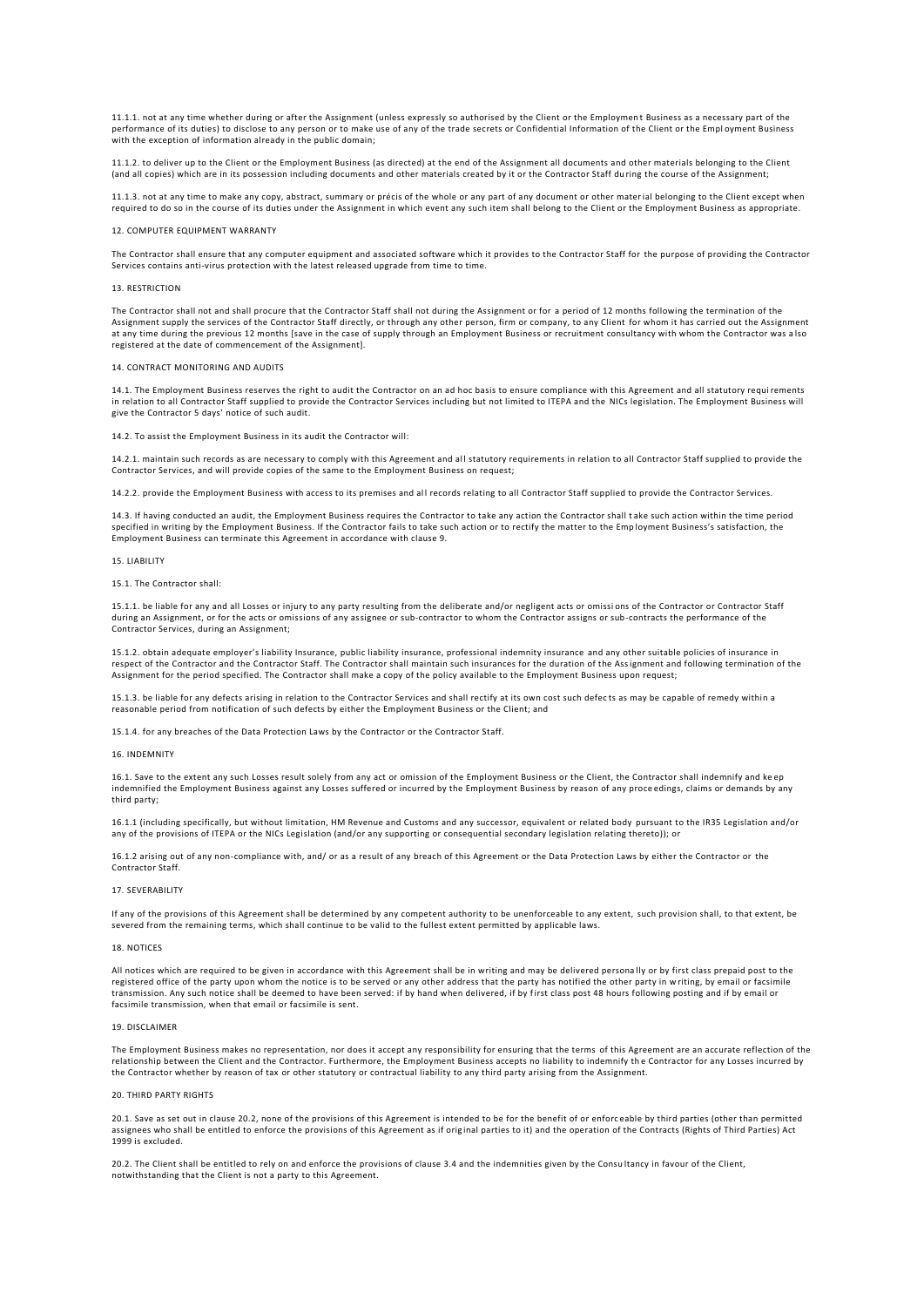11.1.1. not at any time whether during or after the Assignment (unless expressly so authorised by the Client or the Employmen t Business as a necessary part of the performance of its duties) to disclose to any person or to make use of any of the trade secrets or Confidential Information of the Client or the Empl oyment Business with the exception of information already in the public domain;

11.1.2. to deliver up to the Client or the Employment Business (as directed) at the end of the Assignment all documents and other materials belonging to the Client (and all copies) which are in its possession including documents and other materials created by it or the Contractor Staff du ring the course of the Assignment;

11.1.3. not at any time to make any copy, abstract, summary or précis of the whole or any part of any document or other material belonging to the Client except when required to do so in the course of its duties under the Assignment in which event any such item shall belong to the Client or the Employment Business as appropriate.

#### 12. COMPUTER EQUIPMENT WARRANTY

The Contractor shall ensure that any computer equipment and associated software which it provides to the Contractor Staff for the purpose of providing the Contractor Services contains anti-virus protection with the latest released upgrade from time to time.

#### 13. RESTRICTION

The Contractor shall not and shall procure that the Contractor Staff shall not during the Assignment or for a period of 12 months following the termination of the Assignment supply the services of the Contractor Staff directly, or through any other person, firm or company, to any Client for whom it has carried out the Assignment at any time during the previous 12 months [save in the case of supply through an Employment Business or recruitment consultancy with whom the Contractor was a lso registered at the date of commencement of the Assignment].

## 14. CONTRACT MONITORING AND AUDITS

14.1. The Employment Business reserves the right to audit the Contractor on an ad hoc basis to ensure compliance with this Agreement and all statutory requi rements in relation to all Contractor Staff supplied to provide the Contractor Services including but not limited to ITEPA and the NICs legislation. The Employment Business will give the Contractor 5 days' notice of such audit.

# 14.2. To assist the Employment Business in its audit the Contractor will:

14.2.1. maintain such records as are necessary to comply with this Agreement and al l statutory requirements in relation to all Contractor Staff supplied to provide the Contractor Services, and will provide copies of the same to the Employment Business on request;

14.2.2. provide the Employment Business with access to its premises and all records relating to all Contractor Staff supplied to provide the Contractor Services.

14.3. If having conducted an audit, the Employment Business requires the Contractor to take any action the Contractor shall t ake such action within the time period specified in writing by the Employment Business. If the Contractor fails to take such action or to rectify the matter to the Emp loyment Business's satisfaction, the Employment Business can terminate this Agreement in accordance with clause 9.

# 15. LIABILITY

# 15.1. The Contractor shall:

15.1.1. be liable for any and all Losses or injury to any party resulting from the deliberate and/or negligent acts or omissi ons of the Contractor or Contractor Staff during an Assignment, or for the acts or omissions of any assignee or sub-contractor to whom the Contractor assigns or sub-contracts the performance of the Contractor Services, during an Assignment;

15.1.2. obtain adequate employer's liability Insurance, public liability insurance, professional indemnity insurance and any other suitable policies of insurance in respect of the Contractor and the Contractor Staff. The Contractor shall maintain such insurances for the duration of the Assignment and following termination of the Assignment for the period specified. The Contractor shall make a copy of the policy available to the Employment Business upon request;

15.1.3. be liable for any defects arising in relation to the Contractor Services and shall rectify at its own cost such defects as may be capable of remedy within a reasonable period from notification of such defects by either the Employment Business or the Client; and

15.1.4. for any breaches of the Data Protection Laws by the Contractor or the Contractor Staff.

### 16. INDEMNITY

16.1. Save to the extent any such Losses result solely from any act or omission of the Employment Business or the Client, the Contractor shall indemnify and ke ep indemnified the Employment Business against any Losses suffered or incurred by the Employment Business by reason of any proce edings, claims or demands by any third party;

16.1.1 (including specifically, but without limitation, HM Revenue and Customs and any successor, equivalent or related body pursuant to the IR35 Legislation and/or any of the provisions of ITEPA or the NICs Legislation (and/or any supporting or consequential secondary legislation relating thereto)); or

16.1.2 arising out of any non-compliance with, and/ or as a result of any breach of this Agreement or the Data Protection Laws by either the Contractor or the Contractor Staff.

#### 17. SEVERABILITY

If any of the provisions of this Agreement shall be determined by any competent authority to be unenforceable to any extent, such provision shall, to that extent, be<br>severed from the remaining terms, which shall continue t

#### 18. NOTICES

All notices which are required to be given in accordance with this Agreement shall be in writing and may be delivered persona lly or by first class prepaid post to the registered office of the party upon whom the notice is to be served or any other address that the party has notified the other party in w riting, by email or facsimile transmission. Any such notice shall be deemed to have been served: if by hand when delivered, if by first class post 48 hours following posting and if by email or facsimile transmission, when that email or facsimile is sent.

#### 19. DISCLAIMER

The Employment Business makes no representation, nor does it accept any responsibility for ensuring that the terms of this Agreement are an accurate reflection of the relationship between the Client and the Contractor. Furthermore, the Employment Business accepts no liability to indemnify the Contractor for any Losses incurred by<br>the Contractor whether by reason of tax or other statutor

# 20. THIRD PARTY RIGHTS

20.1. Save as set out in clause 20.2, none of the provisions of this Agreement is intended to be for the benefit of or enforceable by third parties (other than permitted<br>assignees who shall be entitled to enforce the provi 1999 is excluded.

20.2. The Client shall be entitled to rely on and enforce the provisions of clause 3.4 and the indemnities given by the Consu ltancy in favour of the Client, notwithstanding that the Client is not a party to this Agreement.